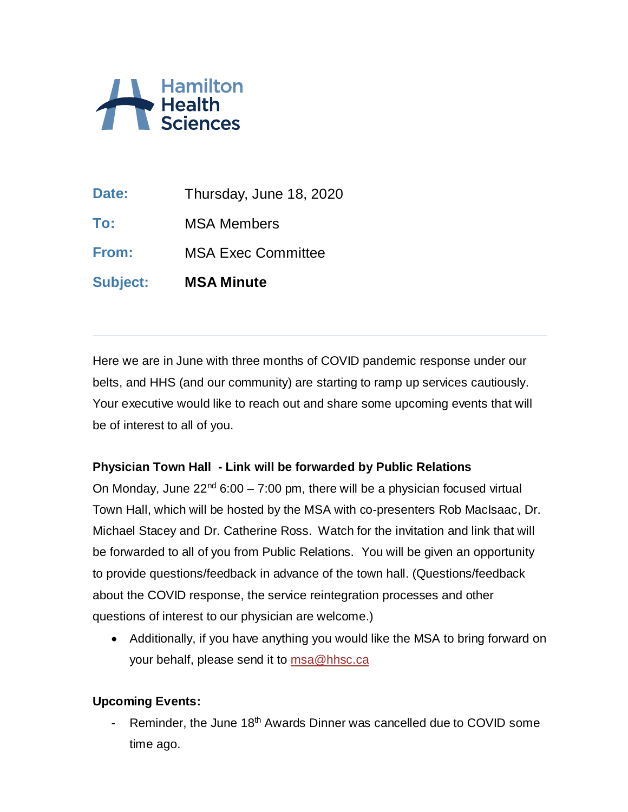

**Date:** Thursday, June 18, 2020 **To:** MSA Members **From:** MSA Exec Committee **Subject: MSA Minute**

Here we are in June with three months of COVID pandemic response under our belts, and HHS (and our community) are starting to ramp up services cautiously. Your executive would like to reach out and share some upcoming events that will be of interest to all of you.

## **Physician Town Hall - Link will be forwarded by Public Relations**

On Monday, June  $22^{nd}$  6:00 – 7:00 pm, there will be a physician focused virtual Town Hall, which will be hosted by the MSA with co-presenters Rob MacIsaac, Dr. Michael Stacey and Dr. Catherine Ross. Watch for the invitation and link that will be forwarded to all of you from Public Relations. You will be given an opportunity to provide questions/feedback in advance of the town hall. (Questions/feedback about the COVID response, the service reintegration processes and other questions of interest to our physician are welcome.)

• Additionally, if you have anything you would like the MSA to bring forward on your behalf, please send it to [msa@hhsc.ca](mailto:msa@hhsc.ca)

## **Upcoming Events:**

- Reminder, the June 18<sup>th</sup> Awards Dinner was cancelled due to COVID some time ago.